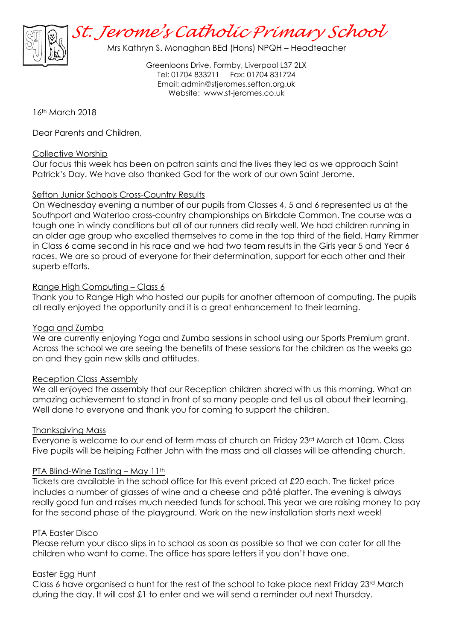

Mrs Kathryn S. Monaghan BEd (Hons) NPQH – Headteacher

Greenloons Drive, Formby, Liverpool L37 2LX Tel: 01704 833211 Fax: 01704 831724 Email: [admin@stjeromes.sefton.org.uk](mailto:admin.stjeromes@schools.sefton.gov.uk) Website: [www.st-jeromes.co.uk](http://www.st-jeromes.co.uk/)

### 16<sup>th</sup> March 2018

Dear Parents and Children,

#### Collective Worship

Our focus this week has been on patron saints and the lives they led as we approach Saint Patrick's Day. We have also thanked God for the work of our own Saint Jerome.

### Sefton Junior Schools Cross-Country Results

On Wednesday evening a number of our pupils from Classes 4, 5 and 6 represented us at the Southport and Waterloo cross-country championships on Birkdale Common. The course was a tough one in windy conditions but all of our runners did really well. We had children running in an older age group who excelled themselves to come in the top third of the field. Harry Rimmer in Class 6 came second in his race and we had two team results in the Girls year 5 and Year 6 races. We are so proud of everyone for their determination, support for each other and their superb efforts.

### Range High Computing – Class 6

Thank you to Range High who hosted our pupils for another afternoon of computing. The pupils all really enjoyed the opportunity and it is a great enhancement to their learning.

#### Yoga and Zumba

We are currently enjoying Yoga and Zumba sessions in school using our Sports Premium grant. Across the school we are seeing the benefits of these sessions for the children as the weeks go on and they gain new skills and attitudes.

#### Reception Class Assembly

We all enjoyed the assembly that our Reception children shared with us this morning. What an amazing achievement to stand in front of so many people and tell us all about their learning. Well done to everyone and thank you for coming to support the children.

#### Thanksgiving Mass

Everyone is welcome to our end of term mass at church on Friday 23rd March at 10am. Class Five pupils will be helping Father John with the mass and all classes will be attending church.

#### PTA Blind-Wine Tasting – May 11th

Tickets are available in the school office for this event priced at £20 each. The ticket price includes a number of glasses of wine and a cheese and pâté platter. The evening is always really good fun and raises much needed funds for school. This year we are raising money to pay for the second phase of the playground. Work on the new installation starts next week!

#### PTA Easter Disco

Please return your disco slips in to school as soon as possible so that we can cater for all the children who want to come. The office has spare letters if you don't have one.

#### Easter Egg Hunt

Class 6 have organised a hunt for the rest of the school to take place next Friday  $23<sup>rd</sup>$  March during the day. It will cost £1 to enter and we will send a reminder out next Thursday.